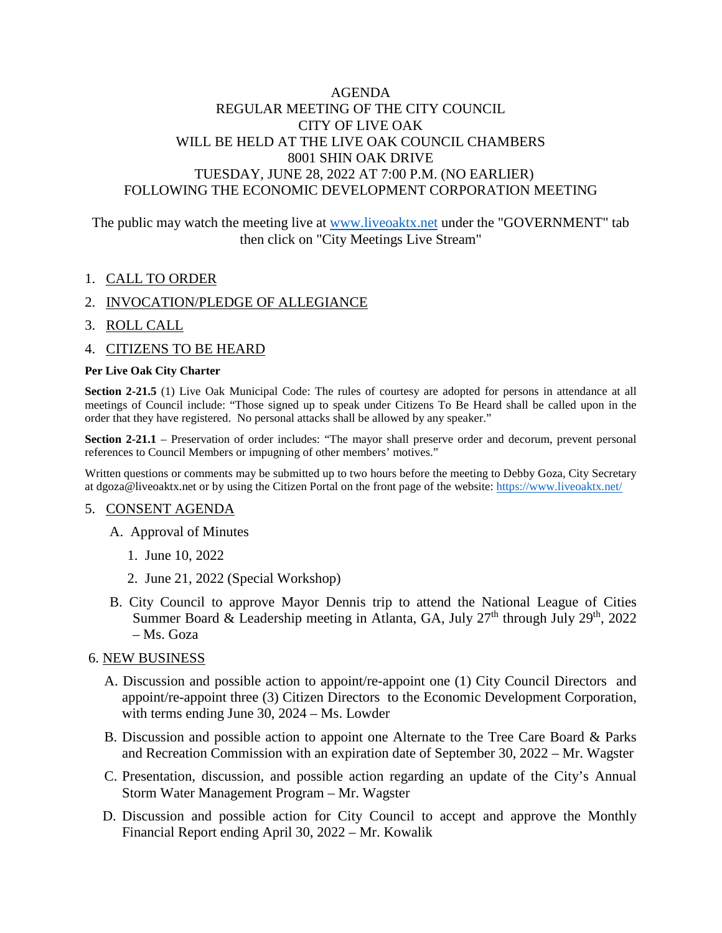# AGENDA REGULAR MEETING OF THE CITY COUNCIL CITY OF LIVE OAK WILL BE HELD AT THE LIVE OAK COUNCIL CHAMBERS 8001 SHIN OAK DRIVE TUESDAY, JUNE 28, 2022 AT 7:00 P.M. (NO EARLIER) FOLLOWING THE ECONOMIC DEVELOPMENT CORPORATION MEETING

The public may watch the meeting live at [www.liveoaktx.net](http://www.liveoaktx.net/) under the "GOVERNMENT" tab then click on "City Meetings Live Stream"

## 1. CALL TO ORDER

### 2. INVOCATION/PLEDGE OF ALLEGIANCE

- 3. ROLL CALL
- 4. CITIZENS TO BE HEARD

#### **Per Live Oak City Charter**

**Section 2-21.5** (1) Live Oak Municipal Code: The rules of courtesy are adopted for persons in attendance at all meetings of Council include: "Those signed up to speak under Citizens To Be Heard shall be called upon in the order that they have registered. No personal attacks shall be allowed by any speaker."

**Section 2-21.1** – Preservation of order includes: "The mayor shall preserve order and decorum, prevent personal references to Council Members or impugning of other members' motives."

Written questions or comments may be submitted up to two hours before the meeting to Debby Goza, City Secretary at dgoza@liveoaktx.net or by using the Citizen Portal on the front page of the website:<https://www.liveoaktx.net/>

### 5. CONSENT AGENDA

- A. Approval of Minutes
	- 1. June 10, 2022
	- 2. June 21, 2022 (Special Workshop)
- B. City Council to approve Mayor Dennis trip to attend the National League of Cities Summer Board & Leadership meeting in Atlanta, GA, July  $27<sup>th</sup>$  through July  $29<sup>th</sup>$ ,  $2022$ – Ms. Goza

### 6. NEW BUSINESS

- A. Discussion and possible action to appoint/re-appoint one (1) City Council Directors and appoint/re-appoint three (3) Citizen Directors to the Economic Development Corporation, with terms ending June 30, 2024 – Ms. Lowder
- B. Discussion and possible action to appoint one Alternate to the Tree Care Board & Parks and Recreation Commission with an expiration date of September 30, 2022 – Mr. Wagster
- C. Presentation, discussion, and possible action regarding an update of the City's Annual Storm Water Management Program – Mr. Wagster
- D. Discussion and possible action for City Council to accept and approve the Monthly Financial Report ending April 30, 2022 – Mr. Kowalik